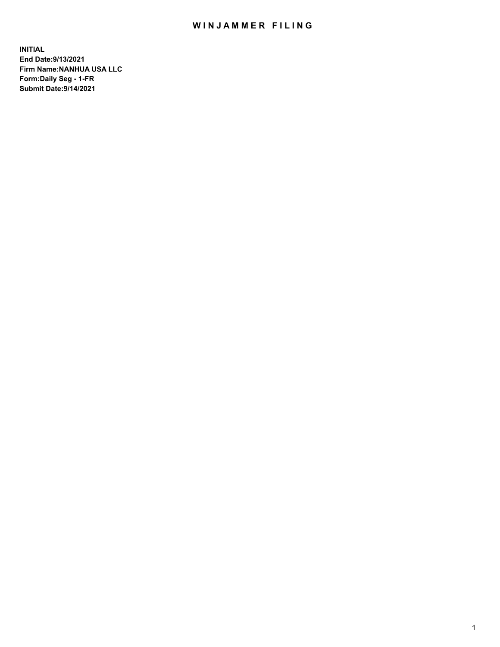# WIN JAMMER FILING

**INITIAL End Date:9/13/2021 Firm Name:NANHUA USA LLC Form:Daily Seg - 1-FR Submit Date:9/14/2021**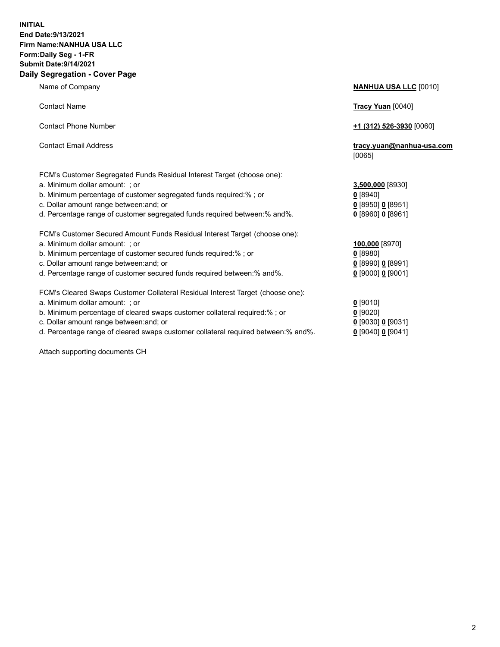### **INITIAL End Date:9/13/2021 Firm Name:NANHUA USA LLC Form:Daily Seg - 1-FR Submit Date:9/14/2021 Daily Segregation - Cover Page**

Name of Company **NANHUA USA LLC** [0010] Contact Name **Tracy Yuan** [0040] Contact Phone Number **+1 (312) 526-3930** [0060] Contact Email Address **tracy.yuan@nanhua-usa.com** [0065] FCM's Customer Segregated Funds Residual Interest Target (choose one): a. Minimum dollar amount: ; or **3,500,000** [8930] b. Minimum percentage of customer segregated funds required:% ; or **0** [8940] c. Dollar amount range between:and; or **0** [8950] **0** [8951] d. Percentage range of customer segregated funds required between:% and%. **0** [8960] **0** [8961] FCM's Customer Secured Amount Funds Residual Interest Target (choose one): a. Minimum dollar amount: ; or **100,000** [8970] b. Minimum percentage of customer secured funds required:% ; or **0** [8980] c. Dollar amount range between:and; or **0** [8990] **0** [8991] d. Percentage range of customer secured funds required between:% and%. **0** [9000] **0** [9001] FCM's Cleared Swaps Customer Collateral Residual Interest Target (choose one): a. Minimum dollar amount: ; or **0 g** b. Minimum percentage of cleared swaps customer collateral required:% ; or **0** c. Dollar amount range between:and; or **0** [9030] **0** [9031]

d. Percentage range of cleared swaps customer collateral required between:% and%. **0** [9040] **0** [9041]

Attach supporting documents CH

| [9010]                 |
|------------------------|
| [9020]                 |
| [9030] 0 [9031]        |
| 190401 <b>0</b> 190411 |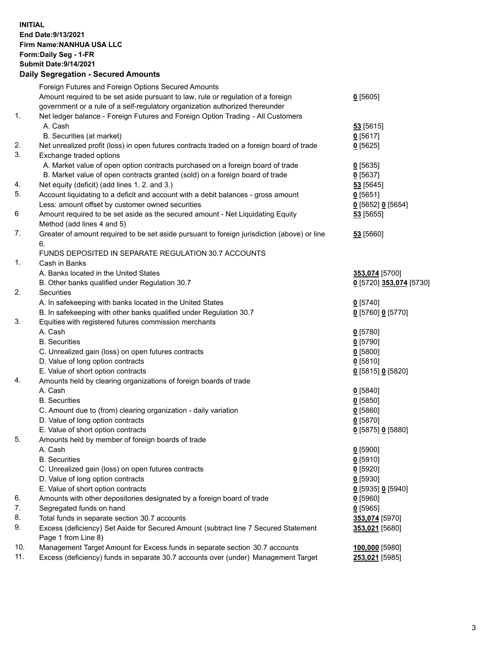## **INITIAL End Date:9/13/2021 Firm Name:NANHUA USA LLC Form:Daily Seg - 1-FR Submit Date:9/14/2021 Daily Segregation - Secured Amounts**

|     | Foreign Futures and Foreign Options Secured Amounts                                         |                         |
|-----|---------------------------------------------------------------------------------------------|-------------------------|
|     | Amount required to be set aside pursuant to law, rule or regulation of a foreign            | $0$ [5605]              |
|     | government or a rule of a self-regulatory organization authorized thereunder                |                         |
| 1.  | Net ledger balance - Foreign Futures and Foreign Option Trading - All Customers             |                         |
|     | A. Cash                                                                                     | 53 [5615]               |
|     | B. Securities (at market)                                                                   | $0$ [5617]              |
| 2.  | Net unrealized profit (loss) in open futures contracts traded on a foreign board of trade   | $0$ [5625]              |
| 3.  | Exchange traded options                                                                     |                         |
|     | A. Market value of open option contracts purchased on a foreign board of trade              | $Q$ [5635]              |
|     | B. Market value of open contracts granted (sold) on a foreign board of trade                | $0$ [5637]              |
| 4.  | Net equity (deficit) (add lines 1. 2. and 3.)                                               | 53 [5645]               |
| 5.  | Account liquidating to a deficit and account with a debit balances - gross amount           | $0$ [5651]              |
|     | Less: amount offset by customer owned securities                                            | 0 [5652] 0 [5654]       |
| 6   | Amount required to be set aside as the secured amount - Net Liquidating Equity              | 53 [5655]               |
|     | Method (add lines 4 and 5)                                                                  |                         |
| 7.  | Greater of amount required to be set aside pursuant to foreign jurisdiction (above) or line | 53 [5660]               |
|     | 6.                                                                                          |                         |
|     | FUNDS DEPOSITED IN SEPARATE REGULATION 30.7 ACCOUNTS                                        |                         |
| 1.  | Cash in Banks                                                                               |                         |
|     | A. Banks located in the United States                                                       | 353,074 [5700]          |
|     | B. Other banks qualified under Regulation 30.7                                              | 0 [5720] 353,074 [5730] |
| 2.  | Securities                                                                                  |                         |
|     | A. In safekeeping with banks located in the United States                                   | $0$ [5740]              |
|     | B. In safekeeping with other banks qualified under Regulation 30.7                          | 0 [5760] 0 [5770]       |
| 3.  | Equities with registered futures commission merchants                                       |                         |
|     | A. Cash                                                                                     | $0$ [5780]              |
|     | <b>B.</b> Securities                                                                        | $0$ [5790]              |
|     | C. Unrealized gain (loss) on open futures contracts                                         | $0$ [5800]              |
|     | D. Value of long option contracts                                                           | $0$ [5810]              |
|     | E. Value of short option contracts                                                          | 0 [5815] 0 [5820]       |
| 4.  | Amounts held by clearing organizations of foreign boards of trade                           |                         |
|     | A. Cash                                                                                     | $0$ [5840]              |
|     | <b>B.</b> Securities                                                                        | $0$ [5850]              |
|     | C. Amount due to (from) clearing organization - daily variation                             | $0$ [5860]              |
|     | D. Value of long option contracts                                                           | $0$ [5870]              |
|     | E. Value of short option contracts                                                          | 0 [5875] 0 [5880]       |
| 5.  | Amounts held by member of foreign boards of trade                                           |                         |
|     | A. Cash                                                                                     | $0$ [5900]              |
|     | <b>B.</b> Securities                                                                        | $0$ [5910]              |
|     | C. Unrealized gain (loss) on open futures contracts                                         | $0$ [5920]              |
|     | D. Value of long option contracts                                                           | $0$ [5930]              |
|     | E. Value of short option contracts                                                          |                         |
| 6.  | Amounts with other depositories designated by a foreign board of trade                      | 0 [5935] 0 [5940]       |
| 7.  | Segregated funds on hand                                                                    | $0$ [5960]              |
| 8.  | Total funds in separate section 30.7 accounts                                               | $0$ [5965]              |
| 9.  |                                                                                             | 353,074 [5970]          |
|     | Excess (deficiency) Set Aside for Secured Amount (subtract line 7 Secured Statement         | 353,021 [5680]          |
| 10. | Page 1 from Line 8)                                                                         |                         |
| 11. | Management Target Amount for Excess funds in separate section 30.7 accounts                 | 100,000 [5980]          |
|     | Excess (deficiency) funds in separate 30.7 accounts over (under) Management Target          | 253,021 [5985]          |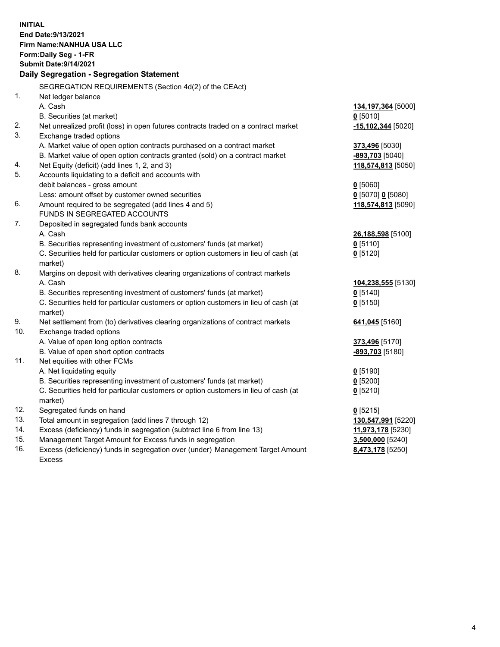| <b>INITIAL</b><br>End Date: 9/13/2021<br>Firm Name: NANHUA USA LLC<br>Form: Daily Seg - 1-FR<br><b>Submit Date: 9/14/2021</b><br>Daily Segregation - Segregation Statement |                                                                                                          |                        |  |  |
|----------------------------------------------------------------------------------------------------------------------------------------------------------------------------|----------------------------------------------------------------------------------------------------------|------------------------|--|--|
|                                                                                                                                                                            | SEGREGATION REQUIREMENTS (Section 4d(2) of the CEAct)                                                    |                        |  |  |
| 1.                                                                                                                                                                         | Net ledger balance                                                                                       |                        |  |  |
|                                                                                                                                                                            | A. Cash                                                                                                  | 134,197,364 [5000]     |  |  |
|                                                                                                                                                                            | B. Securities (at market)                                                                                | $0$ [5010]             |  |  |
| 2.                                                                                                                                                                         | Net unrealized profit (loss) in open futures contracts traded on a contract market                       | -15,102,344 [5020]     |  |  |
| 3.                                                                                                                                                                         | Exchange traded options                                                                                  |                        |  |  |
|                                                                                                                                                                            | A. Market value of open option contracts purchased on a contract market                                  | 373,496 [5030]         |  |  |
|                                                                                                                                                                            | B. Market value of open option contracts granted (sold) on a contract market                             | <u>-893,703</u> [5040] |  |  |
| 4.                                                                                                                                                                         | Net Equity (deficit) (add lines 1, 2, and 3)                                                             | 118,574,813 [5050]     |  |  |
| 5.                                                                                                                                                                         | Accounts liquidating to a deficit and accounts with                                                      |                        |  |  |
|                                                                                                                                                                            | debit balances - gross amount                                                                            | $0$ [5060]             |  |  |
| 6.                                                                                                                                                                         | Less: amount offset by customer owned securities<br>Amount required to be segregated (add lines 4 and 5) | $0$ [5070] 0 [5080]    |  |  |
|                                                                                                                                                                            | FUNDS IN SEGREGATED ACCOUNTS                                                                             | 118,574,813 [5090]     |  |  |
| 7.                                                                                                                                                                         | Deposited in segregated funds bank accounts                                                              |                        |  |  |
|                                                                                                                                                                            | A. Cash                                                                                                  | 26,188,598 [5100]      |  |  |
|                                                                                                                                                                            | B. Securities representing investment of customers' funds (at market)                                    | $0$ [5110]             |  |  |
|                                                                                                                                                                            | C. Securities held for particular customers or option customers in lieu of cash (at                      | $0$ [5120]             |  |  |
|                                                                                                                                                                            | market)                                                                                                  |                        |  |  |
| 8.                                                                                                                                                                         | Margins on deposit with derivatives clearing organizations of contract markets                           |                        |  |  |
|                                                                                                                                                                            | A. Cash                                                                                                  | 104,238,555 [5130]     |  |  |
|                                                                                                                                                                            | B. Securities representing investment of customers' funds (at market)                                    | $0$ [5140]             |  |  |
|                                                                                                                                                                            | C. Securities held for particular customers or option customers in lieu of cash (at                      | $0$ [5150]             |  |  |
|                                                                                                                                                                            | market)                                                                                                  |                        |  |  |
| 9.                                                                                                                                                                         | Net settlement from (to) derivatives clearing organizations of contract markets                          | 641,045 [5160]         |  |  |
| 10.                                                                                                                                                                        | Exchange traded options                                                                                  |                        |  |  |
|                                                                                                                                                                            | A. Value of open long option contracts                                                                   | 373,496 [5170]         |  |  |
|                                                                                                                                                                            | B. Value of open short option contracts                                                                  | -893,703 [5180]        |  |  |
| 11.                                                                                                                                                                        | Net equities with other FCMs                                                                             |                        |  |  |
|                                                                                                                                                                            | A. Net liquidating equity                                                                                | $0$ [5190]             |  |  |
|                                                                                                                                                                            | B. Securities representing investment of customers' funds (at market)                                    | $0$ [5200]             |  |  |
|                                                                                                                                                                            | C. Securities held for particular customers or option customers in lieu of cash (at                      | $0$ [5210]             |  |  |
|                                                                                                                                                                            | market)                                                                                                  |                        |  |  |
| 12.                                                                                                                                                                        | Segregated funds on hand                                                                                 | $0$ [5215]             |  |  |
| 13.                                                                                                                                                                        | Total amount in segregation (add lines 7 through 12)                                                     | 130,547,991 [5220]     |  |  |
| 14.                                                                                                                                                                        | Excess (deficiency) funds in segregation (subtract line 6 from line 13)                                  | 11,973,178 [5230]      |  |  |
| 15.                                                                                                                                                                        | Management Target Amount for Excess funds in segregation                                                 | 3,500,000 [5240]       |  |  |
| 16.                                                                                                                                                                        | Excess (deficiency) funds in segregation over (under) Management Target Amount                           | 8,473,178 [5250]       |  |  |
|                                                                                                                                                                            | <b>Excess</b>                                                                                            |                        |  |  |